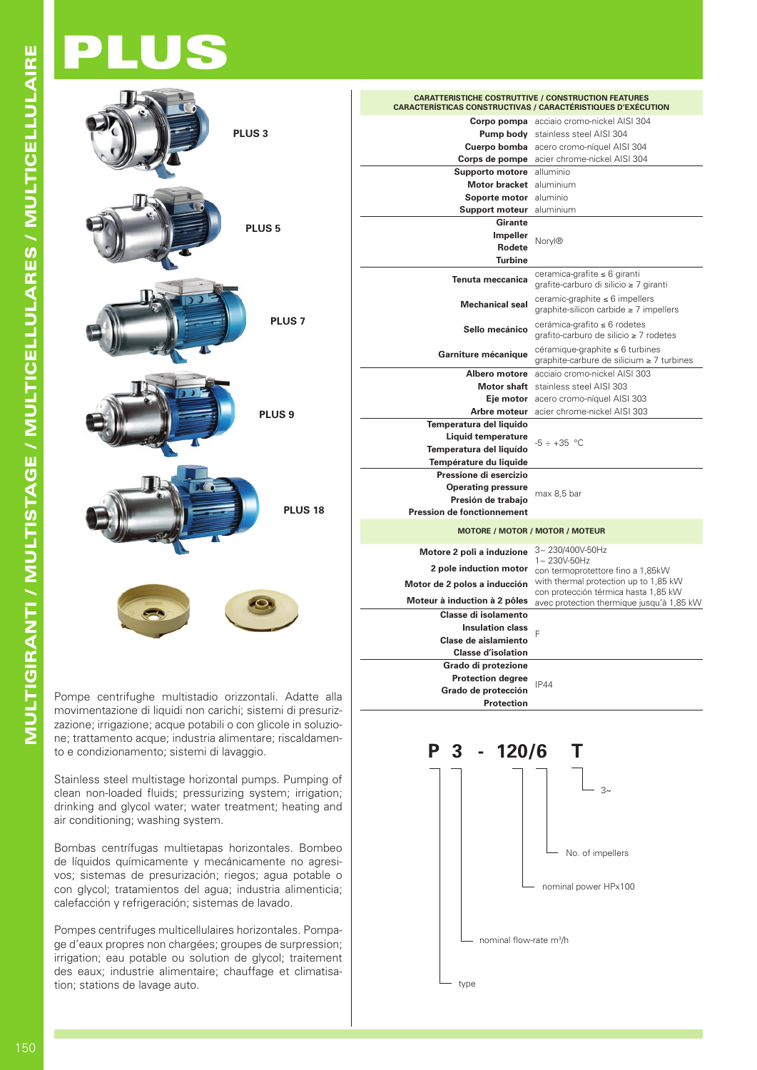## PLUS



movimentazione di liquidi non carichi; sistemi di presurizzazione; irrigazione; acque potabili o con glicole in soluzione; trattamento acque; industria alimentare; riscaldamento e condizionamento; sistemi di lavaggio.

Stainless steel multistage horizontal pumps. Pumping of clean non-loaded fluids; pressurizing system; irrigation; drinking and glycol water; water treatment; heating and air conditioning; washing system.

Bombas centrífugas multietapas horizontales. Bombeo de líquidos químicamente y mecánicamente no agresivos; sistemas de presurización; riegos; agua potable o con glycol; tratamientos del agua; industria alimenticia; calefacción y refrigeración; sistemas de lavado.

Pompes centrifuges multicellulaires horizontales. Pompage d'eaux propres non chargées; groupes de surpression; irrigation; eau potable ou solution de glycol; traitement des eaux; industrie alimentaire; chauffage et climatisation; stations de lavage auto.

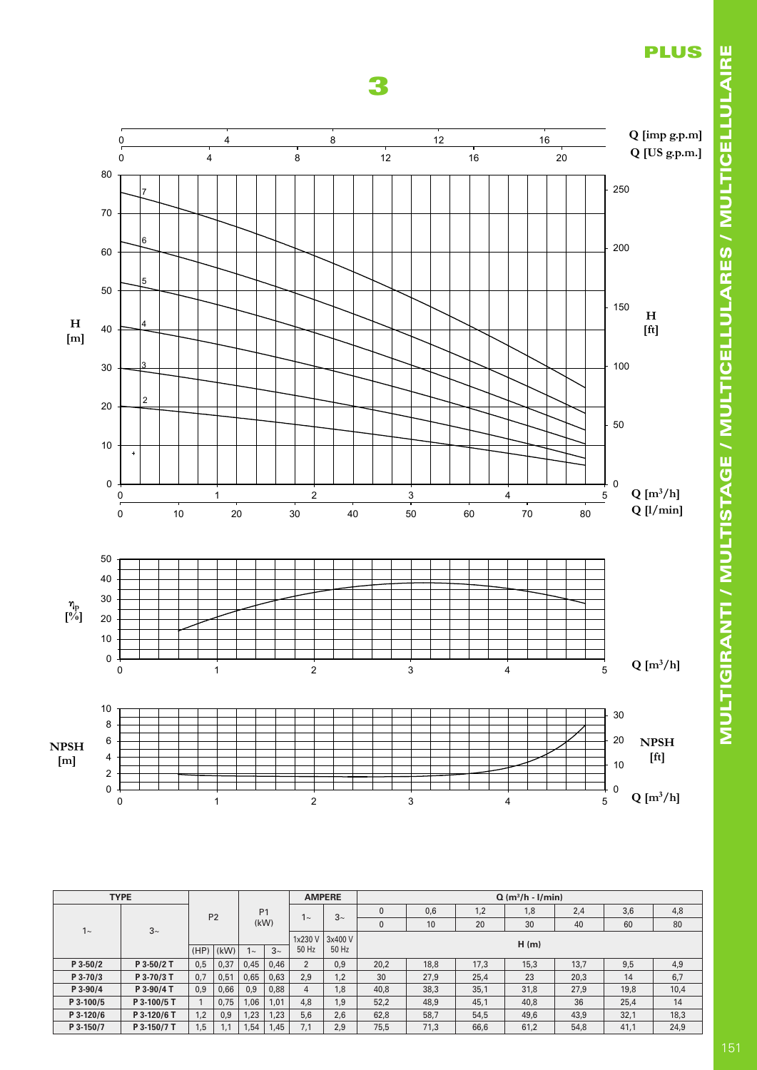



|           | <b>TYPE</b> |      |                |                |                    |                | <b>AMPERE</b> |          |      |      | $Q(m^3/h - I/min)$ |      |      |      |
|-----------|-------------|------|----------------|----------------|--------------------|----------------|---------------|----------|------|------|--------------------|------|------|------|
|           |             |      | P <sub>2</sub> | P <sub>1</sub> |                    |                | $3\sim$       | $\Omega$ | 0,6  | 1,2  | 1,8                | 2,4  | 3,6  | 4,8  |
| $1 -$     | $3~\sim$    |      |                |                | (kW)               | $\sim$         |               | 0        | 10   | 20   | 30                 | 40   | 60   | 80   |
|           |             |      |                |                |                    | 1x230 V        | 3x400 V       |          |      |      | H(m)               |      |      |      |
|           |             | (HP) | (kW)           | $1 -$          | $3\sim$            | 50 Hz          | 50 Hz         |          |      |      |                    |      |      |      |
| P 3-50/2  | P 3-50/2 T  | 0,5  | 0,37           | 0,45           | 0,46               | $\overline{2}$ | 0,9           | 20,2     | 18,8 | 17,3 | 15,3               | 13,7 | 9,5  | 4,9  |
| P 3-70/3  | P 3-70/3 T  | 0,7  | 0,51           | 0,65           | 0,63               | 2,9            | 1,2           | 30       | 27,9 | 25,4 | 23                 | 20,3 | 14   | 6,7  |
| P 3-90/4  | P 3-90/4 T  | 0,9  | 0,66           | 0,9            | 0.88               | $\overline{4}$ | 1,8           | 40.8     | 38,3 | 35,1 | 31,8               | 27,9 | 19,8 | 10,4 |
| P 3-100/5 | P 3-100/5 T |      | 0,75           | 1,06           | 1.01               | 4.8            | 1.9           | 52,2     | 48.9 | 45,1 | 40,8               | 36   | 25.4 | 14   |
| P 3-120/6 | P 3-120/6 T | 1.2  | 0.9            | 1,23           | 1.23<br>5.6<br>2.6 | 62.8           | 58.7          | 54.5     | 49.6 | 43.9 | 32,1               | 18,3 |      |      |
| P 3-150/7 | P 3-150/7 T | 1.5  | 1.1            | 1,54           | 1,45               | 7.1            | 2.9           | 75,5     | 71,3 | 66,6 | 61,2               | 54,8 | 41,1 | 24,9 |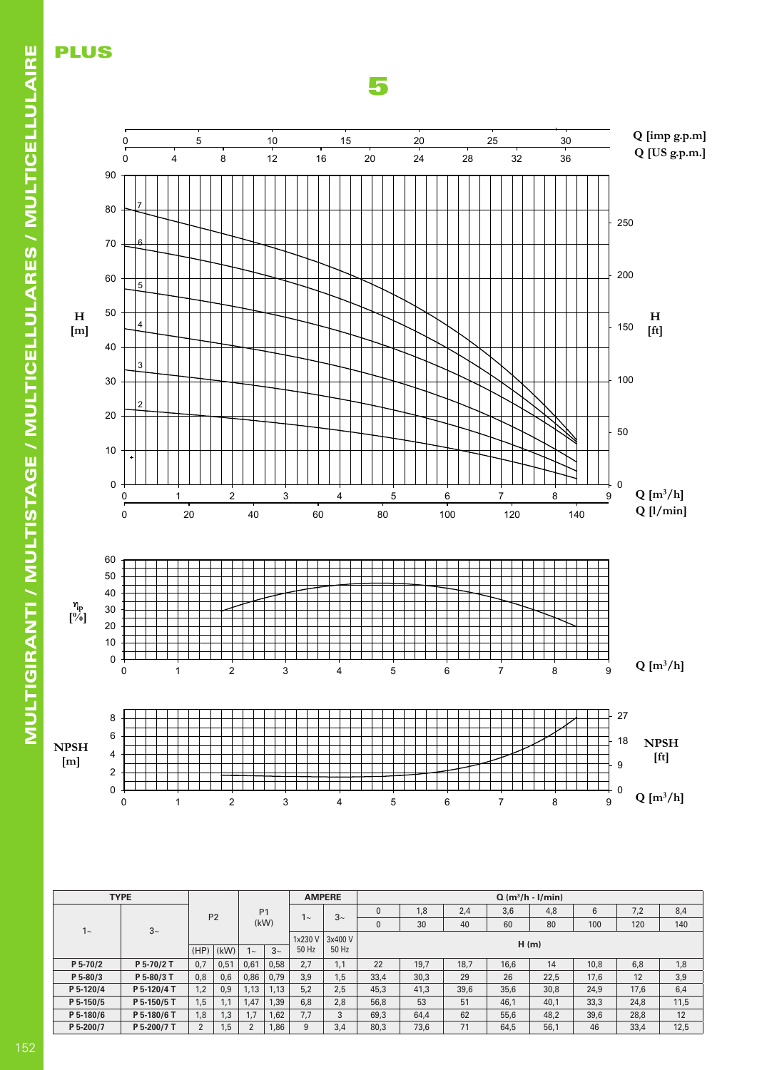

Model: U 5 Data - Model: U 5 Data - Data - Data - Data - Data - Data - Data - Data - Data - Data - Data - Data representative and the contract of the contract of the contract of the contract of the contract of the contract of the contract of the contract of the contract of the contract of the contract of the contract of the contrac

5

|                | <b>TYPE</b> |          |                |                |                    |         | <b>AMPERE</b> |      |      |      |      | $Q(m^3/h - I/min)$ |      |      |      |
|----------------|-------------|----------|----------------|----------------|--------------------|---------|---------------|------|------|------|------|--------------------|------|------|------|
|                |             |          | P <sub>2</sub> | P <sub>1</sub> |                    |         | $3\sim$       | 0    | 1,8  | 2.4  | 3.6  | 4,8                | 6    | 7.2  | 8,4  |
| 1 <sup>0</sup> | $3~\sim$    |          |                |                | (kW)               | $\sim$  |               | 0    | 30   | 40   | 60   | 80                 | 100  | 120  | 140  |
|                |             |          |                |                |                    | 1x230 V | 3x400 V       |      |      |      |      | H(m)               |      |      |      |
|                |             | (HP)     | (kW)           | $\sim$         | $3\sim$            | 50 Hz   | 50 Hz         |      |      |      |      |                    |      |      |      |
| P 5-70/2       | P 5-70/2 T  | 0,7      | 0,51           | 0.61           | 2.7<br>0.58<br>1.1 |         |               |      | 19.7 | 18.7 | 16.6 | 14                 | 10.8 | 6.8  | 1,8  |
| $P 5-80/3$     | P 5-80/3 T  | 0.8      | 0.6            | 0.86           | 0.79               | 3.9     | 1.5           | 33,4 | 30,3 | 29   | 26   | 22.5               | 17.6 | 12   | 3,9  |
| P 5-120/4      | P 5-120/4 T | 1,2      | 0.9            | 1.13           | 1.13               | 5.2     | 2.5           | 45,3 | 41,3 | 39,6 | 35,6 | 30,8               | 24,9 | 17,6 | 6,4  |
| P 5-150/5      | P 5-150/5 T | 1,5      | 1.1            | 1.47           | 1,39               | 6.8     | 2.8           | 56,8 | 53   | 51   | 46,1 | 40,1               | 33,3 | 24,8 | 11,5 |
| P 5-180/6      | P 5-180/6 T | 1.8      | 3.1            | 1.7            | 1.62               | 7.7     | 3             | 69,3 | 64.4 | 62   | 55.6 | 48,2               | 39.6 | 28,8 | 12   |
| P 5-200/7      | P 5-200/7 T | $\Omega$ | , 5            |                | 1,86               | 9       | 3.4           | 80.3 | 73.6 | 71   | 64,5 | 56,1               | 46   | 33.4 | 12,5 |

PLUS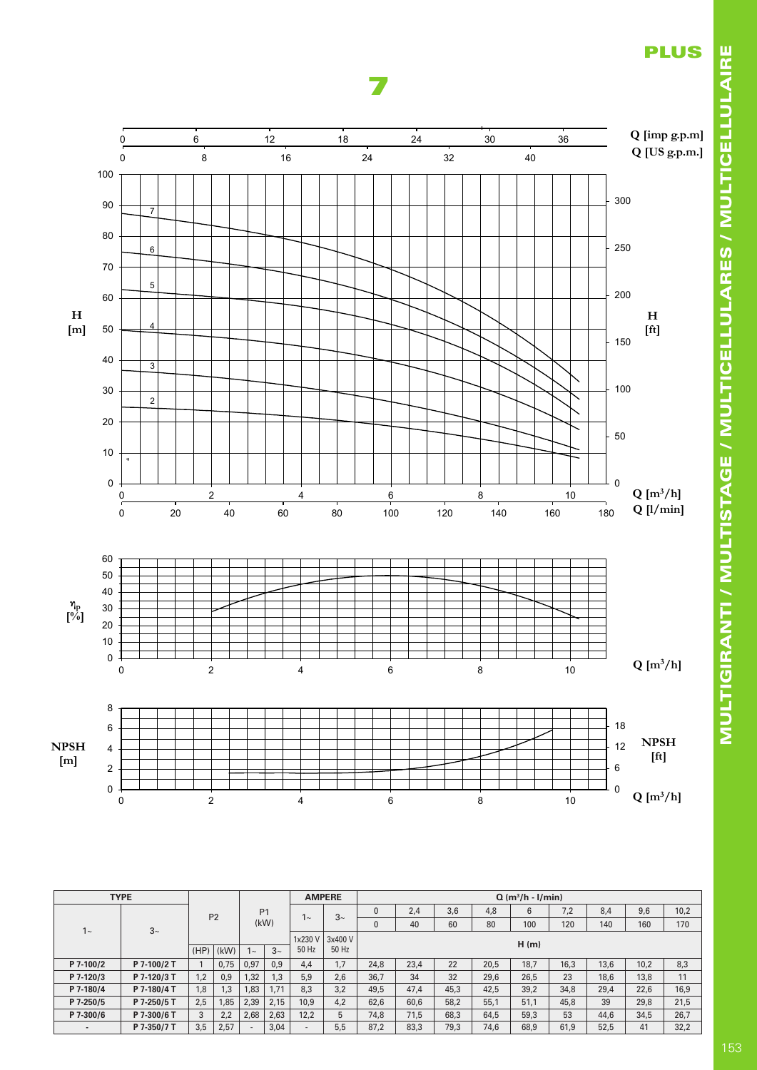

Model: U 7 Data - Model: U 7 Data - Data - Data - Data - Data - Data - Data - Data - Data - Data - Data - Data representation of the contract of the contract of the contract of the contract of the contract of the contract

7





|     | 6           |  |  |  |  |  |  |  |  |  |  |  |  |    |  | 18 |              |
|-----|-------------|--|--|--|--|--|--|--|--|--|--|--|--|----|--|----|--------------|
| PSH | $\Delta$    |  |  |  |  |  |  |  |  |  |  |  |  |    |  | 12 | NPSH<br>[ft] |
| m   | $\sim$<br>_ |  |  |  |  |  |  |  |  |  |  |  |  |    |  | 6  |              |
|     |             |  |  |  |  |  |  |  |  |  |  |  |  |    |  | 0  |              |
|     |             |  |  |  |  |  |  |  |  |  |  |  |  | 10 |  |    | $Q [m^3/h]$  |

|                          | <b>TYPE</b> |      |                |                |         |         | <b>AMPERE</b> |      |      |      |      | $Q(m^3/h - I/min)$ |      |      |      |      |
|--------------------------|-------------|------|----------------|----------------|---------|---------|---------------|------|------|------|------|--------------------|------|------|------|------|
|                          |             |      | P <sub>2</sub> | P <sub>1</sub> |         |         | $3\sim$       | 0    | 2.4  | 3,6  | 4,8  | 6                  | 7.2  | 8.4  | 9,6  | 10,2 |
| $1\sim$                  | $3~\sim$    |      |                |                | (kW)    | $\sim$  |               | 0    | 40   | 60   | 80   | 100                | 120  | 140  | 160  | 170  |
|                          |             |      |                |                | 1x230 V | 3x400 V |               |      |      |      | H(m) |                    |      |      |      |      |
|                          |             | (HP) | (kW)           | $\sim$         | $3\sim$ | 50 Hz   | 50 Hz         |      |      |      |      |                    |      |      |      |      |
| P 7-100/2                | P 7-100/2 T |      | 0.75           | 0,97           | 0.9     | 4.4     | 1.7           | 24.8 | 23.4 | 22   | 20.5 | 18.7               | 16.3 | 13.6 | 10.2 | 8,3  |
| P 7-120/3                | P 7-120/3 T | 1,2  | 0,9            | .32            | 1.3     | 5.9     | 2.6           | 36.7 | 34   | 32   | 29,6 | 26.5               | 23   | 18,6 | 13,8 | 11   |
| P 7-180/4                | P 7-180/4 T | 1,8  | 1,3            | .83            | 1.71    | 8.3     | 3.2           | 49,5 | 47,4 | 45,3 | 42,5 | 39,2               | 34,8 | 29,4 | 22,6 | 16,9 |
| P 7-250/5                | P 7-250/5 T | 2.5  | 1,85<br>2.39   |                | 2.15    | 10.9    | 4.2           | 62.6 | 60,6 | 58,2 | 55,1 | 51,1               | 45.8 | 39   | 29,8 | 21,5 |
| P 7-300/6                | P 7-300/6 T | 3    | 2.2            | 2.68           | 2.63    | 12.2    | 5             | 74.8 | 71.5 | 68.3 | 64.5 | 59.3               | 53   | 44.6 | 34.5 | 26,7 |
| $\overline{\phantom{a}}$ | P 7-350/7 T | 3,5  | 2,57           |                | 3,04    | -       | 5,5           | 87.2 | 83,3 | 79,3 | 74,6 | 68,9               | 61,9 | 52,5 | 41   | 32,2 |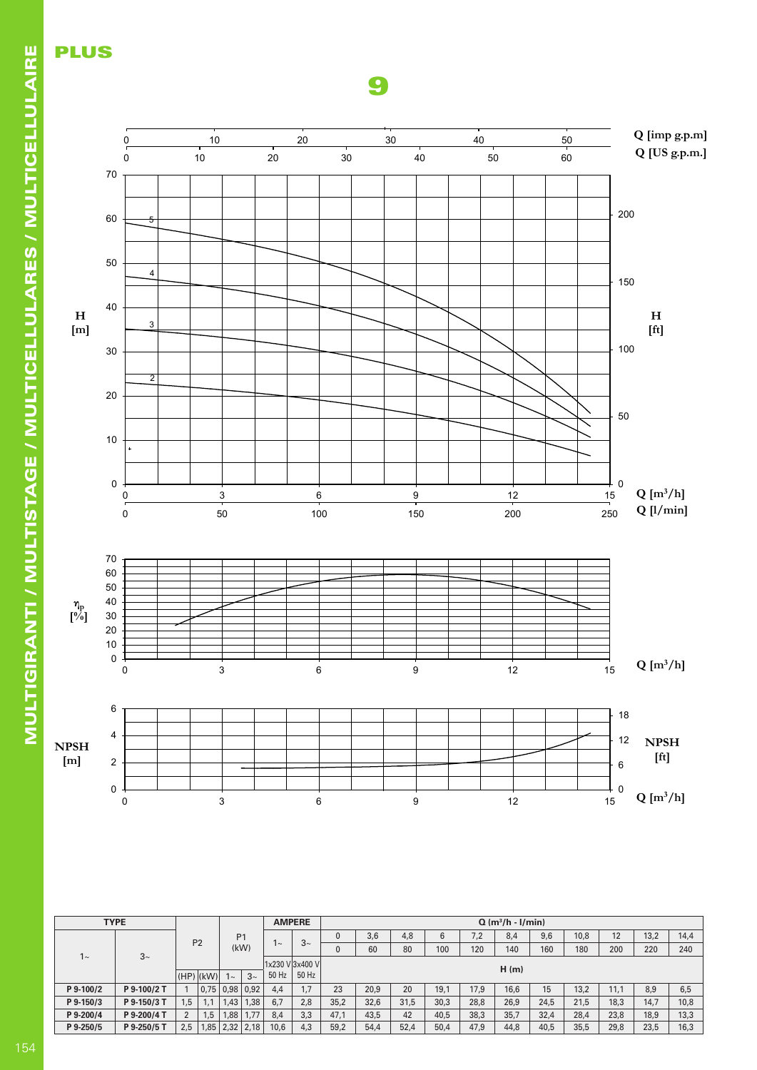

 $M_{\odot}$  -  $M_{\odot}$   $\sim$   $1/2$  $r_{\rm e}$  is 2900  $r_{\rm e}$  and 2900  $R_{\rm e}$ 

9

|           | <b>TYPE</b> |             |                |                |             | <b>AMPERE</b> |                 |      |      |      |      |      | $Q(m^3/h - I/min)$ |      |      |      |      |      |
|-----------|-------------|-------------|----------------|----------------|-------------|---------------|-----------------|------|------|------|------|------|--------------------|------|------|------|------|------|
|           |             |             | P <sub>2</sub> | P <sub>1</sub> |             |               | $3\sim$         | 0    | 3,6  | 4,8  | 6    | 7,2  | 8.4                | 9.6  | 10.8 | 12   | 13,2 | 14,4 |
| $1 -$     | $3~\sim$    |             |                |                | (kW)        | $\sim$        |                 | 0    | 60   | 80   | 100  | 120  | 140                | 160  | 180  | 200  | 220  | 240  |
|           |             |             |                |                |             |               | 1x230 V 3x400 V |      |      |      |      |      | H(m)               |      |      |      |      |      |
|           |             | $(HP)$ (kW) |                | $\sim$         | $3\sim$     | 50 Hz         | 50 Hz           |      |      |      |      |      |                    |      |      |      |      |      |
| P 9-100/2 | P 9-100/2 T |             | $0.75$ 0.98    |                | 0.92<br>4.4 |               | 1.7             | 23   | 20,9 | 20   | 19.1 | 17.9 | 16.6               | 15   | 13.2 | 11.1 | 8.9  | 6,5  |
| P 9-150/3 | P 9-150/3 T | 1.5         |                | 1.43           | 1.38        | 6.7           | 2.8             | 35,2 | 32,6 | 31,5 | 30,3 | 28,8 | 26,9               | 24.5 | 21.5 | 18.3 | 14.7 | 10,8 |
| P 9-200/4 | P 9-200/4 T | C           | 1.5            | 1,88           | 1,77        | 8.4           | 3.3             | 47,1 | 43,5 | 42   | 40.5 | 38,3 | 35,7               | 32,4 | 28,4 | 23,8 | 18,9 | 13,3 |
| P 9-250/5 | P 9-250/5 T | 2.5         | 1,85           |                | $2,32$ 2,18 | 10,6          | 4,3             | 59,2 | 54,4 | 52,4 | 50,4 | 47.9 | 44.8               | 40.5 | 35,5 | 29,8 | 23.5 | 16,3 |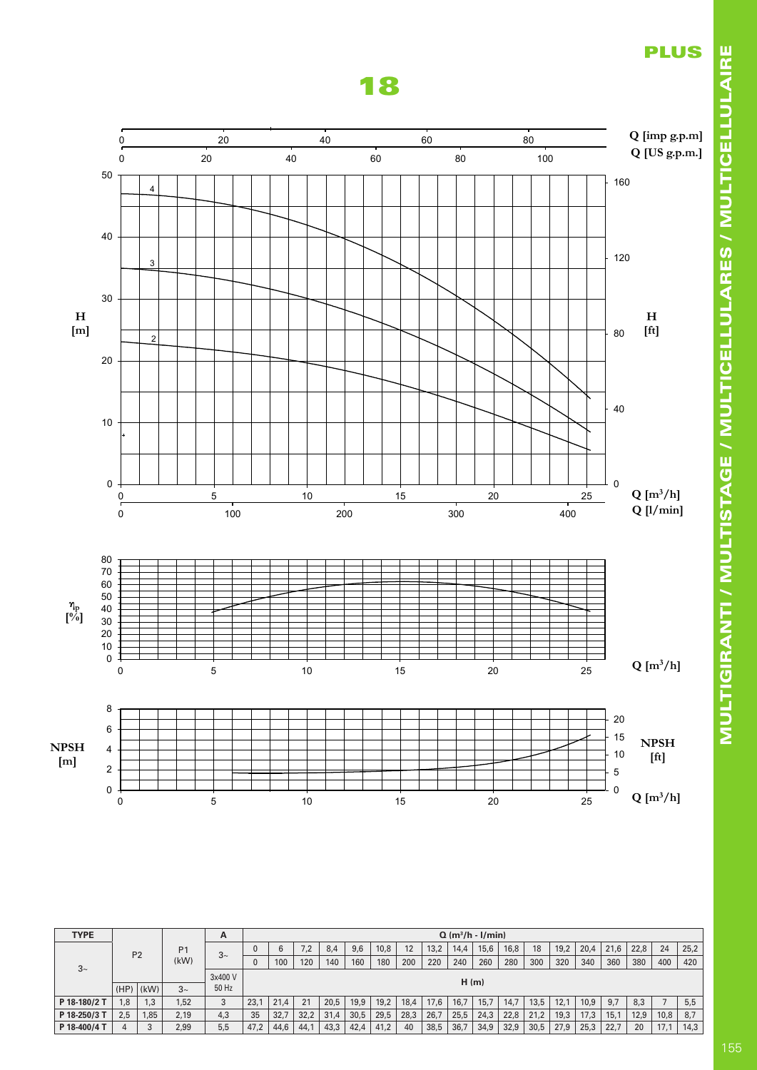



| <b>TYPE</b>  |      |                |                | A       |      |      |      |      |      |      |      |      | $Q(m^3/h - I/min)$ |      |      |      |      |      |      |      |      |      |
|--------------|------|----------------|----------------|---------|------|------|------|------|------|------|------|------|--------------------|------|------|------|------|------|------|------|------|------|
|              |      | P <sub>2</sub> | P <sub>1</sub> | $3\sim$ |      | 6    | 7.2  | 8,4  | 9,6  | 10,8 | 12   | 13,2 | 14.4               | 15,6 | 16,8 | 18   | 19,2 | 20,4 | 21,6 | 22,8 | 24   | 25,2 |
| $3\sim$      |      | (kW)           |                |         | 100  | 120  | 140  | 160  | 180  | 200  | 220  | 240  | 260                | 280  | 300  | 320  | 340  | 360  | 380  | 400  | 420  |      |
|              |      |                |                | 3x400 V |      |      |      |      |      |      |      |      |                    |      |      |      |      |      |      |      |      |      |
|              | (HP) | (kW)           | $3\sim$        | 50 Hz   |      |      |      |      |      |      |      |      | H(m)               |      |      |      |      |      |      |      |      |      |
| P 18-180/2 T | 1,8  | 1.3            | 1.52           | 3       | 23.  | 21,4 | 21   | 20,5 | 19.9 | 19,2 | 18,4 | 17,6 | 16.7               | 15.7 | 14.7 | 13.5 | 12.1 | 10.9 | 9.7  | 8,3  |      | 5,5  |
| P 18-250/3   | 2.5  | 1,85           | 2.19           | 4,3     | 35   | 32,7 | 32.2 | 31,4 | 30.5 | 29,5 | 28,3 | 26,7 | 25.5               | 24,3 | 22.8 | 21,2 | 19,3 | 17,3 | 15.1 | 12,9 | 10,8 | 8,7  |
| P 18-400/4 T |      |                | 2,99           | 5,5     | 47,2 | 44,6 | 44,1 | 43,3 | 42,4 | 41,2 | 40   | 38,5 | 36,7               | 34,9 | 32,9 | 30,5 | 27,9 | 25,3 | 22,7 | 20   | 17,1 | 14,3 |